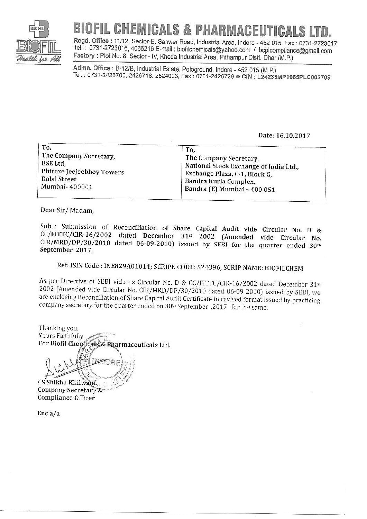

# **BIOFIL CHEMICALS & PHARMACEUTICALS LTD.**

Regd. Office: 11/12, Sector-E, Sanwer Road, Industrial Area, Indore - 452 015. Fax: 0731-2723017 Tel.: 0731-2723016, 4066216 E-mail: biofilchemicals@yahoo.com / bcplcompliance@gmail.com Factory: Plot No. 8, Sector - IV, Kheda Industrial Area, Pithampur Distt. Dhar (M.P.)

Admn. Office: B-12/B, Industrial Estate, Pologround, Indore - 452 015 (M.P.) Tel. : 0731-2426700, 2426718, 2524003, Fax : 0731-2426726 ● CIN : L24233MP1985PLC002709

#### Date: 16.10.2017

| To,<br>The Company Secretary,<br>BSE Ltd.<br>Phiroze Jeejeebhoy Towers<br>Dalal Street<br>Mumbai- 400001 | To.<br>The Company Secretary,<br>National Stock Exchange of India Ltd.,<br>Exchange Plaza, C-1, Block G,<br>Bandra Kurla Complex,<br>Bandra (E) Mumbai - 400 051 |  |
|----------------------------------------------------------------------------------------------------------|------------------------------------------------------------------------------------------------------------------------------------------------------------------|--|
|----------------------------------------------------------------------------------------------------------|------------------------------------------------------------------------------------------------------------------------------------------------------------------|--|

Dear Sir/Madam,

Sub.: Submission of Reconciliation of Share Capital Audit vide Circular No. D & CC/FITTC/CIR-16/2002 dated December 31st 2002 (Amended vide Circular No.  $CIR/MRD/DP/30/2010$  dated 06-09-2010) issued by SEBI for the quarter ended 30th September 2017.

### Ref: ISIN Code: INE829A01014; SCRIPE CODE: 524396, SCRIP NAME: BIOFILCHEM

As per Directive of SEBI vide its Circular No. D & CC/FITTC/CIR-16/2002 dated December 31st 2002 (Amended vide Circular No. CIR/MRD/DP/30/2010 dated 06-09-2010) issued by SEBI, we are enclosing Reconciliation of Share Capital Audit Certificate in revised format issued by practicing company secretary for the quarter ended on 30<sup>th</sup> September, 2017 for the same.

Thanking you, Yours Faithfully For Biofil Chemicals & Pharmaceuticals Ltd.

CS Shikha Khilwani Company Secretary & **Compliance Officer** 

 $Enc a/a$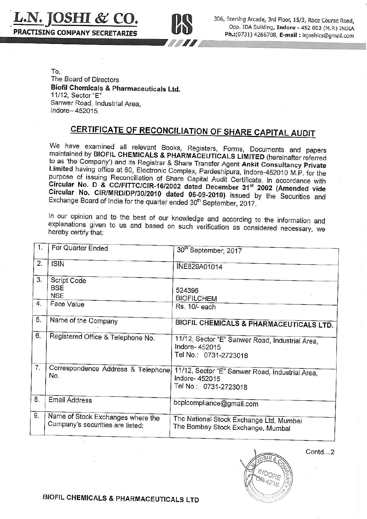L.N. JOSHI & CO. **PRACTISING COMPANY SECRETARTES** 



306, Sterling Arcade, 3rd Floor, 15/3, Race Course Road, Opp. IDA Building, Indore - 452 003 (M.P.) INDIA Ph.: (0731) 4266708, E-mail: Injoshics@gmail.com

To. The Board of Directors Biofil Chemicals & Pharmaceuticals Ltd. 11/12, Sector "E" Sanwer Road, Industrial Area, Indore-452015.

## **CERTIFICATE OF RECONCILIATION OF SHARE CAPITAL AUDIT**

We have examined all relevant Books, Registers, Forms, Documents and papers maintained by BIOFIL CHEMICALS & PHARMACEUTICALS LIMITED (hereinafter referred to as 'the Company') and its Registrar & Share Transfer Agent Ankit Consultancy Private Limited having office at 60, Electronic Complex, Pardeshipura, Indore-452010 M.P. for the purpose of issuing Reconciliation of Share Capital Audit Certificate, in accordance with Circular No. D & CC/FITTC/CIR-16/2002 dated December 31<sup>st</sup> 2002 (Amended vide Circular No. CIR/MRD/DP/30/2010 dated 06-09-2010) issued by the Securities and Exchange Board of India for the quarter ended 30<sup>th</sup> September, 2017.

In our opinion and to the best of our knowledge and according to the information and explanations given to us and based on such verification as considered necessary, we hereby certify that:

| 1.       | For Quarter Ended                                                     | 30 <sup>th</sup> September, 2017                                                           |
|----------|-----------------------------------------------------------------------|--------------------------------------------------------------------------------------------|
| 2.       | <b>ISIN</b>                                                           | INE829A01014                                                                               |
| 3.<br>4. | Script Code<br><b>BSE</b><br><b>NSE</b><br>Face Value                 | 524396<br><b>BIOFILCHEM</b><br>Rs. 10/- each                                               |
| 5.       | Name of the Company                                                   | BIOFIL CHEMICALS & PHARMACEUTICALS LTD.                                                    |
| 6.       | Registered Office & Telephone No.                                     | 11/12, Sector "E" Sanwer Road, Industrial Area,<br>Indore- 452015<br>Tel No.: 0731-2723018 |
| 7.       | Correspondence Address & Telephone<br>No.                             | 11/12, Sector "E" Sanwer Road, Industrial Area,<br>Indore- 452015<br>Tel No.: 0731-2723018 |
| 8.       | <b>Email Address</b>                                                  | bcplcompliance@gmail.com                                                                   |
| 9.       | Name of Stock Exchanges where the<br>Company's securities are listed: | The National Stock Exchange Ltd, Mumbai<br>The Bombay Stock Exchange, Mumbai               |



Contd.<sub>2</sub>

BIOFIL CHEMICALS & PHARMACEUTICALS LTD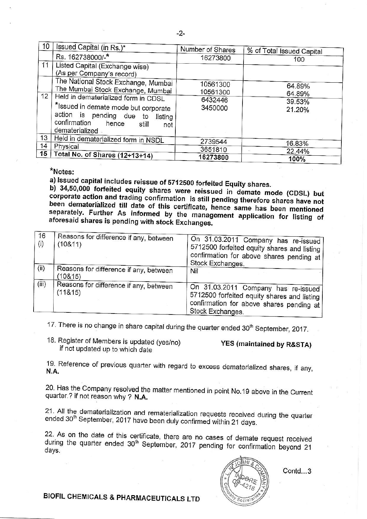| 10              | Issued Capital (in Rs.)*                                                                                                                                                      | Number of Shares     | % of Total Issued Capital |
|-----------------|-------------------------------------------------------------------------------------------------------------------------------------------------------------------------------|----------------------|---------------------------|
|                 | Rs. 162738000/-*                                                                                                                                                              | 16273800             | 100                       |
| 11              | Listed Capital (Exchange wise)<br>(As per Company's record)                                                                                                                   |                      |                           |
|                 | The National Stock Exchange, Mumbai<br>The Mumbai Stock Exchange, Mumbai                                                                                                      | 10561300<br>10561300 | 64.89%<br>64.89%          |
| 12              | Held in dematerialized form in CDSL<br>*Issued in demate mode but corporate<br>action is pending due to<br>listing<br>confirmation<br>hence<br>still<br>not<br>dematerialized | 6432446<br>3450000   | 39.53%<br>21.20%          |
| 13              | Held in dematerialized form in NSDL                                                                                                                                           | 2739544              | 16.83%                    |
| 14              | Physical                                                                                                                                                                      | 3651810              | 22.44%                    |
| 15 <sup>1</sup> | Total No. of Shares (12+13+14)                                                                                                                                                | 16273800             | 100%                      |

\*Notes:

a) Issued capital includes reissue of 5712500 forfeited Equity shares.

b) 34,50,000 forfeited equity shares were reissued in demate mode (CDSL) but corporate action and trading confirmation is still pending therefore shares have not been dematerialized till date of this certificate, hence same has been mentioned separately. Further As informed by the management application for listing of aforesaid shares is pending with stock Exchanges.

| 16<br>(i) | Reasons for difference if any, between<br>(10811) | On 31.03.2011 Company has re-issued<br>5712500 forfeited equity shares and listing<br>confirmation for above shares pending at<br>Stock Exchanges. |
|-----------|---------------------------------------------------|----------------------------------------------------------------------------------------------------------------------------------------------------|
| (ii)      | Reasons for difference if any, between<br>(10815) | Nil                                                                                                                                                |
| (iii)     | Reasons for difference if any, between<br>(11815) | On 31.03.2011 Company has re-issued<br>5712500 forfeited equity shares and listing<br>confirmation for above shares pending at<br>Stock Exchanges. |

17. There is no change in share capital during the quarter ended 30<sup>th</sup> September, 2017.

18. Register of Members is updated (yes/no) if not updated up to which date

### YES (maintained by R&STA)

19. Reference of previous quarter with regard to excess dematerialized shares, if any, **N.A.** 

20. Has the Company resolved the matter mentioned in point No.19 above in the Current quarter.? if not reason why ? N.A.

21. All the dematerialization and rematerialization requests received during the quarter ended 30<sup>th</sup> September, 2017 have been duly confirmed within 21 days.

22. As on the date of this certificate, there are no cases of demate request received during the quarter ended 30<sup>th</sup> September, 2017 pending for confirmation beyond 21 days.



 $Contd...3$ 

BIOFIL CHEMICALS & PHARMACEUTICALS LTD